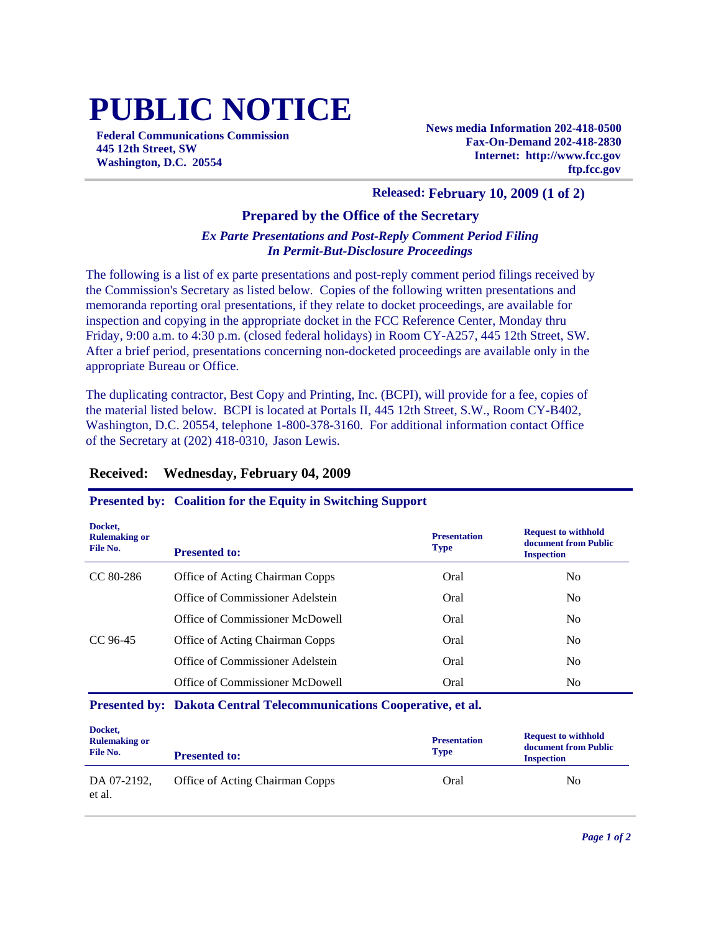# **PUBLIC NOTICE**

**Federal Communications Commission 445 12th Street, SW Washington, D.C. 20554**

**News media Information 202-418-0500 Fax-On-Demand 202-418-2830 Internet: http://www.fcc.gov ftp.fcc.gov**

### **Released: February 10, 2009 (1 of 2)**

#### **Prepared by the Office of the Secretary**

#### *Ex Parte Presentations and Post-Reply Comment Period Filing In Permit-But-Disclosure Proceedings*

The following is a list of ex parte presentations and post-reply comment period filings received by the Commission's Secretary as listed below. Copies of the following written presentations and memoranda reporting oral presentations, if they relate to docket proceedings, are available for inspection and copying in the appropriate docket in the FCC Reference Center, Monday thru Friday, 9:00 a.m. to 4:30 p.m. (closed federal holidays) in Room CY-A257, 445 12th Street, SW. After a brief period, presentations concerning non-docketed proceedings are available only in the appropriate Bureau or Office.

The duplicating contractor, Best Copy and Printing, Inc. (BCPI), will provide for a fee, copies of the material listed below. BCPI is located at Portals II, 445 12th Street, S.W., Room CY-B402, Washington, D.C. 20554, telephone 1-800-378-3160. For additional information contact Office of the Secretary at (202) 418-0310, Jason Lewis.

#### **Received: Wednesday, February 04, 2009**

#### **Presented by: Coalition for the Equity in Switching Support**

| Docket,<br><b>Rulemaking or</b><br>File No. | <b>Presented to:</b>             | <b>Presentation</b><br><b>Type</b> | <b>Request to withhold</b><br>document from Public<br><b>Inspection</b> |
|---------------------------------------------|----------------------------------|------------------------------------|-------------------------------------------------------------------------|
| $CC 80-286$                                 | Office of Acting Chairman Copps  | Oral                               | No                                                                      |
|                                             | Office of Commissioner Adelstein | Oral                               | No                                                                      |
|                                             | Office of Commissioner McDowell  | Oral                               | N <sub>0</sub>                                                          |
| CC 96-45                                    | Office of Acting Chairman Copps  | Oral                               | N <sub>0</sub>                                                          |
|                                             | Office of Commissioner Adelstein | Oral                               | N <sub>0</sub>                                                          |
|                                             | Office of Commissioner McDowell  | Oral                               | No                                                                      |

#### **Presented by: Dakota Central Telecommunications Cooperative, et al.**

| Docket,<br><b>Rulemaking or</b><br>File No. | <b>Presented to:</b>            | <b>Presentation</b><br><b>Type</b> | <b>Request to withhold</b><br>document from Public<br><b>Inspection</b> |
|---------------------------------------------|---------------------------------|------------------------------------|-------------------------------------------------------------------------|
| DA 07-2192.<br>et al.                       | Office of Acting Chairman Copps | Oral                               | No                                                                      |